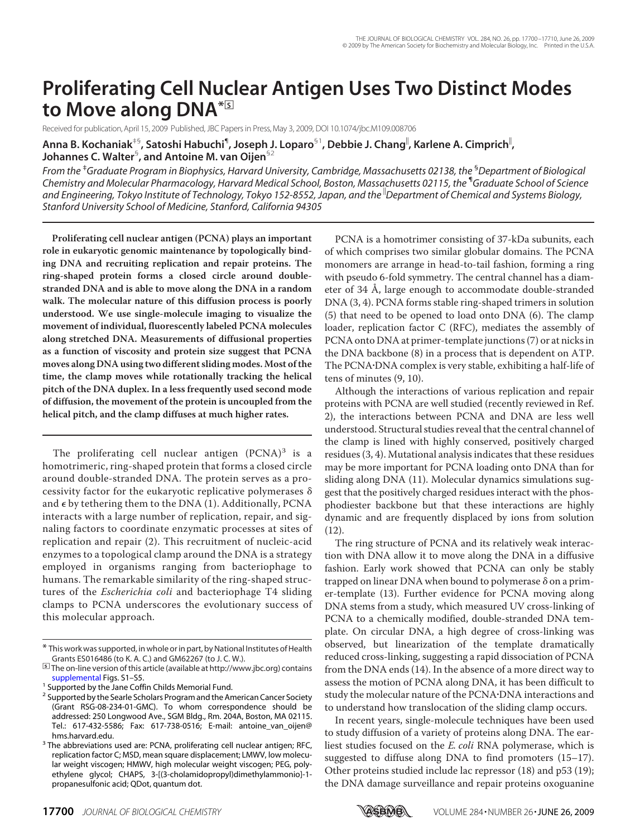# **Proliferating Cell Nuclear Antigen Uses Two Distinct Modes to Move along DNA\***□**<sup>S</sup>**

Received for publication, April 15, 2009 Published, JBC Papers in Press, May 3, 2009, DOI 10.1074/jbc.M109.008706

**Anna B. Kochaniak**‡§**, Satoshi Habuchi**¶ **, Joseph J. Loparo**§1**, Debbie J. Chang , Karlene A. Cimprich , Johannes C. Walter**§ **, and Antoine M. van Oijen**§2

*From the* ‡ *Graduate Program in Biophysics, Harvard University, Cambridge, Massachusetts 02138, the* § *Department of Biological Chemistry and Molecular Pharmacology, Harvard Medical School, Boston, Massachusetts 02115, the* ¶ *Graduate School of Science and Engineering, Tokyo Institute of Technology, Tokyo 152-8552, Japan, and the Department of Chemical and Systems Biology, Stanford University School of Medicine, Stanford, California 94305*

**Proliferating cell nuclear antigen (PCNA) plays an important role in eukaryotic genomic maintenance by topologically binding DNA and recruiting replication and repair proteins. The ring-shaped protein forms a closed circle around doublestranded DNA and is able to move along the DNA in a random walk. The molecular nature of this diffusion process is poorly understood. We use single-molecule imaging to visualize the movement of individual, fluorescently labeled PCNA molecules along stretched DNA. Measurements of diffusional properties as a function of viscosity and protein size suggest that PCNA moves along DNA using two different sliding modes. Most of the time, the clamp moves while rotationally tracking the helical pitch of the DNA duplex. In a less frequently used second mode of diffusion, the movement of the protein is uncoupled from the helical pitch, and the clamp diffuses at much higher rates.**

The proliferating cell nuclear antigen  $(PCNA)^3$  is a homotrimeric, ring-shaped protein that forms a closed circle around double-stranded DNA. The protein serves as a processivity factor for the eukaryotic replicative polymerases  $\delta$ and  $\epsilon$  by tethering them to the DNA (1). Additionally, PCNA interacts with a large number of replication, repair, and signaling factors to coordinate enzymatic processes at sites of replication and repair (2). This recruitment of nucleic-acid enzymes to a topological clamp around the DNA is a strategy employed in organisms ranging from bacteriophage to humans. The remarkable similarity of the ring-shaped structures of the *Escherichia coli* and bacteriophage T4 sliding clamps to PCNA underscores the evolutionary success of this molecular approach.

PCNA is a homotrimer consisting of 37-kDa subunits, each of which comprises two similar globular domains. The PCNA monomers are arrange in head-to-tail fashion, forming a ring with pseudo 6-fold symmetry. The central channel has a diameter of 34 Å, large enough to accommodate double-stranded DNA (3, 4). PCNA forms stable ring-shaped trimers in solution (5) that need to be opened to load onto DNA (6). The clamp loader, replication factor C (RFC), mediates the assembly of PCNA onto DNA at primer-template junctions (7) or at nicks in the DNA backbone (8) in a process that is dependent on ATP. The PCNA-DNA complex is very stable, exhibiting a half-life of tens of minutes (9, 10).

Although the interactions of various replication and repair proteins with PCNA are well studied (recently reviewed in Ref. 2), the interactions between PCNA and DNA are less well understood. Structural studies reveal that the central channel of the clamp is lined with highly conserved, positively charged residues (3, 4). Mutational analysis indicates that these residues may be more important for PCNA loading onto DNA than for sliding along DNA (11). Molecular dynamics simulations suggest that the positively charged residues interact with the phosphodiester backbone but that these interactions are highly dynamic and are frequently displaced by ions from solution (12).

The ring structure of PCNA and its relatively weak interaction with DNA allow it to move along the DNA in a diffusive fashion. Early work showed that PCNA can only be stably trapped on linear DNA when bound to polymerase  $\delta$  on a primer-template (13). Further evidence for PCNA moving along DNA stems from a study, which measured UV cross-linking of PCNA to a chemically modified, double-stranded DNA template. On circular DNA, a high degree of cross-linking was observed, but linearization of the template dramatically reduced cross-linking, suggesting a rapid dissociation of PCNA from the DNA ends (14). In the absence of a more direct way to assess the motion of PCNA along DNA, it has been difficult to study the molecular nature of the PCNA-DNA interactions and to understand how translocation of the sliding clamp occurs.

In recent years, single-molecule techniques have been used to study diffusion of a variety of proteins along DNA. The earliest studies focused on the *E. coli* RNA polymerase, which is suggested to diffuse along DNA to find promoters (15–17). Other proteins studied include lac repressor (18) and p53 (19); the DNA damage surveillance and repair proteins oxoguanine



<sup>\*</sup> This work was supported, in whole or in part, by National Institutes of Health Grants ES016486 (to K. A. C.) and GM62267 (to J. C. W.).

<sup>□</sup>**<sup>S</sup>** The on-line version of this article (available at http://www.jbc.org) contains [supplemental](http://www.jbc.org/cgi/content/full/M109.008706/DC1) Figs. S1–S5.<br><sup>1</sup> Supported by the Jane Coffin Childs Memorial Fund.

<sup>&</sup>lt;sup>2</sup> Supported by the Searle Scholars Program and the American Cancer Society (Grant RSG-08-234-01-GMC). To whom correspondence should be addressed: 250 Longwood Ave., SGM Bldg., Rm. 204A, Boston, MA 02115. Tel.: 617-432-5586; Fax: 617-738-0516; E-mail: antoine\_van\_oijen@

hms.harvard.edu.<br><sup>3</sup> The abbreviations used are: PCNA, proliferating cell nuclear antigen; RFC, replication factor C; MSD, mean square displacement; LMWV, low molecular weight viscogen; HMWV, high molecular weight viscogen; PEG, polyethylene glycol; CHAPS, 3-[(3-cholamidopropyl)dimethylammonio]-1 propanesulfonic acid; QDot, quantum dot.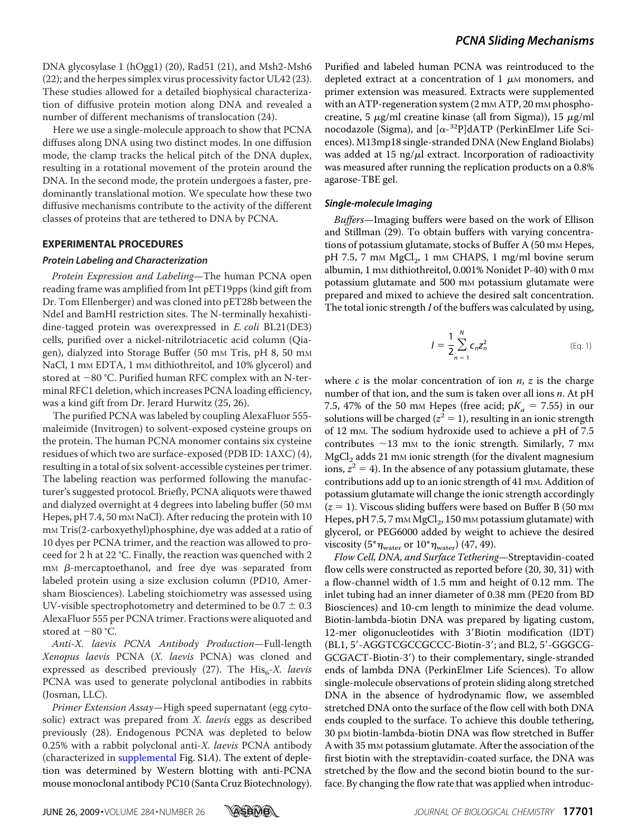DNA glycosylase 1 (hOgg1) (20), Rad51 (21), and Msh2-Msh6 (22); and the herpes simplex virus processivity factor UL42 (23). These studies allowed for a detailed biophysical characterization of diffusive protein motion along DNA and revealed a number of different mechanisms of translocation (24).

Here we use a single-molecule approach to show that PCNA diffuses along DNA using two distinct modes. In one diffusion mode, the clamp tracks the helical pitch of the DNA duplex, resulting in a rotational movement of the protein around the DNA. In the second mode, the protein undergoes a faster, predominantly translational motion. We speculate how these two diffusive mechanisms contribute to the activity of the different classes of proteins that are tethered to DNA by PCNA.

#### **EXPERIMENTAL PROCEDURES**

#### *Protein Labeling and Characterization*

*Protein Expression and Labeling*—The human PCNA open reading frame was amplified from Int pET19pps (kind gift from Dr. Tom Ellenberger) and was cloned into pET28b between the NdeI and BamHI restriction sites. The N-terminally hexahistidine-tagged protein was overexpressed in *E. coli* BL21(DE3) cells, purified over a nickel-nitrilotriacetic acid column (Qiagen), dialyzed into Storage Buffer (50 mm Tris, pH 8, 50 mm NaCl, 1 mm EDTA, 1 mm dithiothreitol, and 10% glycerol) and stored at  $-80$  °C. Purified human RFC complex with an N-terminal RFC1 deletion, which increases PCNA loading efficiency, was a kind gift from Dr. Jerard Hurwitz (25, 26).

The purified PCNA was labeled by coupling AlexaFluor 555 maleimide (Invitrogen) to solvent-exposed cysteine groups on the protein. The human PCNA monomer contains six cysteine residues of which two are surface-exposed (PDB ID: 1AXC) (4), resulting in a total of six solvent-accessible cysteines per trimer. The labeling reaction was performed following the manufacturer's suggested protocol. Briefly, PCNA aliquots were thawed and dialyzed overnight at 4 degrees into labeling buffer (50 mm Hepes, pH 7.4, 50 mm NaCl). After reducing the protein with 10 mM Tris(2-carboxyethyl)phosphine, dye was added at a ratio of 10 dyes per PCNA trimer, and the reaction was allowed to proceed for 2 h at 22 °C. Finally, the reaction was quenched with 2  $mM$   $\beta$ -mercaptoethanol, and free dye was separated from labeled protein using a size exclusion column (PD10, Amersham Biosciences). Labeling stoichiometry was assessed using UV-visible spectrophotometry and determined to be 0.7  $\pm$  0.3 AlexaFluor 555 per PCNA trimer. Fractions were aliquoted and stored at  $-80$  °C.

*Anti-X. laevis PCNA Antibody Production*—Full-length *Xenopus laevis* PCNA (*X. laevis* PCNA) was cloned and expressed as described previously (27). The His<sub>6</sub>-X. laevis PCNA was used to generate polyclonal antibodies in rabbits (Josman, LLC).

*Primer Extension Assay*—High speed supernatant (egg cytosolic) extract was prepared from *X. laevis* eggs as described previously (28). Endogenous PCNA was depleted to below 0.25% with a rabbit polyclonal anti-*X. laevis* PCNA antibody (characterized in [supplemental](http://www.jbc.org/cgi/content/full/M109.008706/DC1) Fig. S1*A*). The extent of depletion was determined by Western blotting with anti-PCNA mouse monoclonal antibody PC10 (Santa Cruz Biotechnology).

Purified and labeled human PCNA was reintroduced to the depleted extract at a concentration of 1  $\mu$ M monomers, and primer extension was measured. Extracts were supplemented with an ATP-regeneration system (2 mm ATP, 20 mm phosphocreatine, 5  $\mu$ g/ml creatine kinase (all from Sigma)), 15  $\mu$ g/ml nocodazole (Sigma), and  $[\alpha^{-32}P]dATP$  (PerkinElmer Life Sciences). M13mp18 single-stranded DNA (New England Biolabs) was added at 15 ng/ $\mu$ l extract. Incorporation of radioactivity was measured after running the replication products on a 0.8% agarose-TBE gel.

#### *Single-molecule Imaging*

*Buffers*—Imaging buffers were based on the work of Ellison and Stillman (29). To obtain buffers with varying concentrations of potassium glutamate, stocks of Buffer A (50 mM Hepes, pH 7.5, 7 mm MgCl<sub>2</sub>, 1 mm CHAPS, 1 mg/ml bovine serum albumin, 1 mm dithiothreitol, 0.001% Nonidet P-40) with 0 mm potassium glutamate and 500 mM potassium glutamate were prepared and mixed to achieve the desired salt concentration. The total ionic strength *I* of the buffers was calculated by using,

$$
I = \frac{1}{2} \sum_{n=1}^{N} c_n z_n^2
$$
 (Eq. 1)

where  $c$  is the molar concentration of ion  $n$ ,  $z$  is the charge number of that ion, and the sum is taken over all ions *n*. At pH 7.5, 47% of the 50 mm Hepes (free acid;  $pK_a = 7.55$ ) in our solutions will be charged ( $z^2 = 1$ ), resulting in an ionic strength of 12 mM. The sodium hydroxide used to achieve a pH of 7.5 contributes  $\sim$ 13 mm to the ionic strength. Similarly, 7 mm  $MgCl<sub>2</sub>$  adds 21 mm ionic strength (for the divalent magnesium ions,  $z^2 = 4$ ). In the absence of any potassium glutamate, these contributions add up to an ionic strength of 41 mM. Addition of potassium glutamate will change the ionic strength accordingly  $(z = 1)$ . Viscous sliding buffers were based on Buffer B (50 m<sub>M</sub> Hepes, pH 7.5, 7 mm  $MgCl<sub>2</sub>$ , 150 mm potassium glutamate) with glycerol, or PEG6000 added by weight to achieve the desired viscosity (5\* $\eta_{\text{water}}$  or  $10^* \eta_{\text{water}}$ ) (47, 49).

*Flow Cell, DNA, and Surface Tethering*—Streptavidin-coated flow cells were constructed as reported before (20, 30, 31) with a flow-channel width of 1.5 mm and height of 0.12 mm. The inlet tubing had an inner diameter of 0.38 mm (PE20 from BD Biosciences) and 10-cm length to minimize the dead volume. Biotin-lambda-biotin DNA was prepared by ligating custom, 12-mer oligonucleotides with 3'Biotin modification (IDT) (BL1, 5'-AGGTCGCCGCCC-Biotin-3'; and BL2, 5'-GGGCG-GCGACT-Biotin-3) to their complementary, single-stranded ends of lambda DNA (PerkinElmer Life Sciences). To allow single-molecule observations of protein sliding along stretched DNA in the absence of hydrodynamic flow, we assembled stretched DNA onto the surface of the flow cell with both DNA ends coupled to the surface. To achieve this double tethering, 30 pM biotin-lambda-biotin DNA was flow stretched in Buffer A with 35 mM potassium glutamate. After the association of the first biotin with the streptavidin-coated surface, the DNA was stretched by the flow and the second biotin bound to the surface. By changing the flow rate that was applied when introduc-

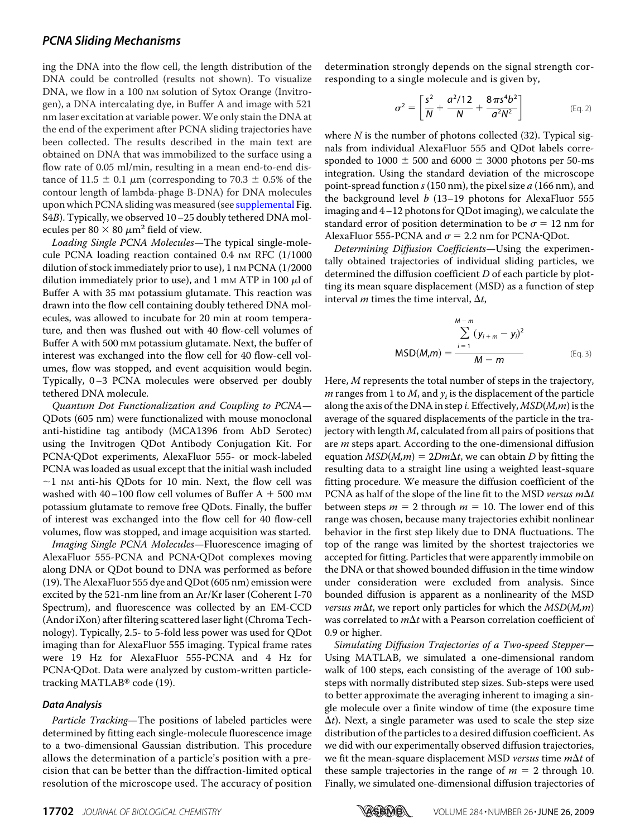ing the DNA into the flow cell, the length distribution of the DNA could be controlled (results not shown). To visualize DNA, we flow in a 100 nm solution of Sytox Orange (Invitrogen), a DNA intercalating dye, in Buffer A and image with 521 nm laser excitation at variable power. We only stain the DNA at the end of the experiment after PCNA sliding trajectories have been collected. The results described in the main text are obtained on DNA that was immobilized to the surface using a flow rate of 0.05 ml/min, resulting in a mean end-to-end distance of 11.5  $\pm$  0.1  $\mu$ m (corresponding to 70.3  $\pm$  0.5% of the contour length of lambda-phage B-DNA) for DNA molecules upon which PCNA sliding was measured (see [supplemental](http://www.jbc.org/cgi/content/full/M109.008706/DC1) Fig. S4*B*). Typically, we observed 10–25 doubly tethered DNA molecules per  $80 \times 80 \ \mu m^2$  field of view.

*Loading Single PCNA Molecules*—The typical single-molecule PCNA loading reaction contained 0.4 nm RFC (1/1000 dilution of stock immediately prior to use),  $1 \text{ nm}$  PCNA (1/2000) dilution immediately prior to use), and  $1 \text{ mm}$  ATP in 100  $\mu$ l of Buffer A with 35 mm potassium glutamate. This reaction was drawn into the flow cell containing doubly tethered DNA molecules, was allowed to incubate for 20 min at room temperature, and then was flushed out with 40 flow-cell volumes of Buffer A with 500 mm potassium glutamate. Next, the buffer of interest was exchanged into the flow cell for 40 flow-cell volumes, flow was stopped, and event acquisition would begin. Typically, 0–3 PCNA molecules were observed per doubly tethered DNA molecule.

*Quantum Dot Functionalization and Coupling to PCNA*— QDots (605 nm) were functionalized with mouse monoclonal anti-histidine tag antibody (MCA1396 from AbD Serotec) using the Invitrogen QDot Antibody Conjugation Kit. For PCNA-QDot experiments, AlexaFluor 555- or mock-labeled PCNA was loaded as usual except that the initial wash included  $\sim$ 1 nm anti-his QDots for 10 min. Next, the flow cell was washed with  $40-100$  flow cell volumes of Buffer A  $+500$  mm potassium glutamate to remove free QDots. Finally, the buffer of interest was exchanged into the flow cell for 40 flow-cell volumes, flow was stopped, and image acquisition was started.

*Imaging Single PCNA Molecules*—Fluorescence imaging of AlexaFluor 555-PCNA and PCNA-QDot complexes moving along DNA or QDot bound to DNA was performed as before (19). The AlexaFluor 555 dye and QDot (605 nm) emission were excited by the 521-nm line from an Ar/Kr laser (Coherent I-70 Spectrum), and fluorescence was collected by an EM-CCD (Andor iXon) after filtering scattered laser light (Chroma Technology). Typically, 2.5- to 5-fold less power was used for QDot imaging than for AlexaFluor 555 imaging. Typical frame rates were 19 Hz for AlexaFluor 555-PCNA and 4 Hz for PCNA-QDot. Data were analyzed by custom-written particletracking MATLAB® code (19).

## *Data Analysis*

*Particle Tracking*—The positions of labeled particles were determined by fitting each single-molecule fluorescence image to a two-dimensional Gaussian distribution. This procedure allows the determination of a particle's position with a precision that can be better than the diffraction-limited optical resolution of the microscope used. The accuracy of position

determination strongly depends on the signal strength corresponding to a single molecule and is given by,

$$
\sigma^2 = \left[\frac{s^2}{N} + \frac{a^2/12}{N} + \frac{8\pi s^4 b^2}{a^2 N^2}\right]
$$
 (Eq. 2)

where *N* is the number of photons collected (32). Typical signals from individual AlexaFluor 555 and QDot labels corresponded to 1000  $\pm$  500 and 6000  $\pm$  3000 photons per 50-ms integration. Using the standard deviation of the microscope point-spread function *s* (150 nm), the pixel size *a* (166 nm), and the background level *b* (13–19 photons for AlexaFluor 555 imaging and 4–12 photons for QDot imaging), we calculate the standard error of position determination to be  $\sigma = 12$  nm for AlexaFluor 555-PCNA and  $\sigma = 2.2$  nm for PCNA $\cdot$ QDot.

*Determining Diffusion Coefficients*—Using the experimentally obtained trajectories of individual sliding particles, we determined the diffusion coefficient *D* of each particle by plotting its mean square displacement (MSD) as a function of step interval *m* times the time interval,  $\Delta t$ ,

MSD(M,m) = 
$$
\frac{\sum_{i=1}^{M-m} (y_{i+m} - y_i)^2}{M-m}
$$
 (Eq. 3)

Here, *M* represents the total number of steps in the trajectory, *m* ranges from 1 to *M*, and  $\gamma$ , is the displacement of the particle along the axis of the DNA in step *i.* Effectively, *MSD*(*M,m*) is the average of the squared displacements of the particle in the trajectory with length *M*, calculated from all pairs of positions that are *m* steps apart. According to the one-dimensional diffusion equation  $MSD(M,m) = 2Dm\Delta t$ , we can obtain *D* by fitting the resulting data to a straight line using a weighted least-square fitting procedure. We measure the diffusion coefficient of the PCNA as half of the slope of the line fit to the MSD *versus*  $m\Delta t$ between steps  $m = 2$  through  $m = 10$ . The lower end of this range was chosen, because many trajectories exhibit nonlinear behavior in the first step likely due to DNA fluctuations. The top of the range was limited by the shortest trajectories we accepted for fitting. Particles that were apparently immobile on the DNA or that showed bounded diffusion in the time window under consideration were excluded from analysis. Since bounded diffusion is apparent as a nonlinearity of the MSD *versus m* $\Delta t$ , we report only particles for which the *MSD*(*M*,*m*) was correlated to  $m\Delta t$  with a Pearson correlation coefficient of 0.9 or higher.

*Simulating Diffusion Trajectories of a Two-speed Stepper*— Using MATLAB, we simulated a one-dimensional random walk of 100 steps, each consisting of the average of 100 substeps with normally distributed step sizes. Sub-steps were used to better approximate the averaging inherent to imaging a single molecule over a finite window of time (the exposure time  $\Delta t$ ). Next, a single parameter was used to scale the step size distribution of the particles to a desired diffusion coefficient. As we did with our experimentally observed diffusion trajectories, we fit the mean-square displacement MSD *versus* time *mt* of these sample trajectories in the range of  $m = 2$  through 10. Finally, we simulated one-dimensional diffusion trajectories of

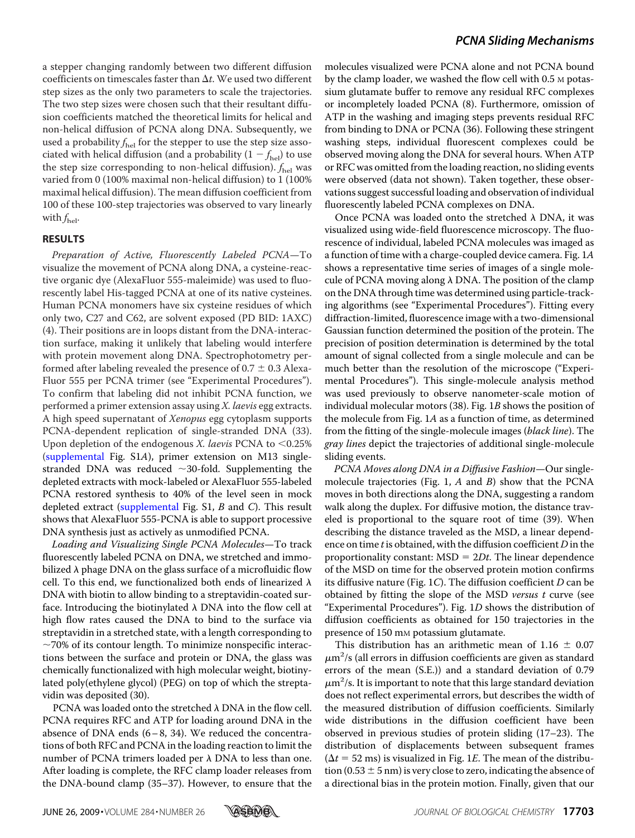a stepper changing randomly between two different diffusion coefficients on timescales faster than  $\Delta t$ . We used two different step sizes as the only two parameters to scale the trajectories. The two step sizes were chosen such that their resultant diffusion coefficients matched the theoretical limits for helical and non-helical diffusion of PCNA along DNA. Subsequently, we used a probability  $f_{hel}$  for the stepper to use the step size associated with helical diffusion (and a probability  $(1 - f_{hel})$  to use the step size corresponding to non-helical diffusion).  $f_{hel}$  was varied from 0 (100% maximal non-helical diffusion) to 1 (100% maximal helical diffusion). The mean diffusion coefficient from 100 of these 100-step trajectories was observed to vary linearly with  $f_{hel}$ .

#### **RESULTS**

*Preparation of Active, Fluorescently Labeled PCNA*—To visualize the movement of PCNA along DNA, a cysteine-reactive organic dye (AlexaFluor 555-maleimide) was used to fluorescently label His-tagged PCNA at one of its native cysteines. Human PCNA monomers have six cysteine residues of which only two, C27 and C62, are solvent exposed (PD BID: 1AXC) (4). Their positions are in loops distant from the DNA-interaction surface, making it unlikely that labeling would interfere with protein movement along DNA. Spectrophotometry performed after labeling revealed the presence of 0.7  $\pm$  0.3 Alexa-Fluor 555 per PCNA trimer (see "Experimental Procedures"). To confirm that labeling did not inhibit PCNA function, we performed a primer extension assay using *X. laevis* egg extracts. A high speed supernatant of *Xenopus* egg cytoplasm supports PCNA-dependent replication of single-stranded DNA (33). Upon depletion of the endogenous *X. laevis* PCNA to <0.25% [\(supplemental](http://www.jbc.org/cgi/content/full/M109.008706/DC1) Fig. S1*A*), primer extension on M13 singlestranded DNA was reduced  $\sim$ 30-fold. Supplementing the depleted extracts with mock-labeled or AlexaFluor 555-labeled PCNA restored synthesis to 40% of the level seen in mock depleted extract [\(supplemental](http://www.jbc.org/cgi/content/full/M109.008706/DC1) Fig. S1, *B* and *C*). This result shows that AlexaFluor 555-PCNA is able to support processive DNA synthesis just as actively as unmodified PCNA.

*Loading and Visualizing Single PCNA Molecules*—To track fluorescently labeled PCNA on DNA, we stretched and immobilized  $\lambda$  phage DNA on the glass surface of a microfluidic flow cell. To this end, we functionalized both ends of linearized  $\lambda$ DNA with biotin to allow binding to a streptavidin-coated surface. Introducing the biotinylated  $\lambda$  DNA into the flow cell at high flow rates caused the DNA to bind to the surface via streptavidin in a stretched state, with a length corresponding to  $\sim$ 70% of its contour length. To minimize nonspecific interactions between the surface and protein or DNA, the glass was chemically functionalized with high molecular weight, biotinylated poly(ethylene glycol) (PEG) on top of which the streptavidin was deposited (30).

PCNA was loaded onto the stretched  $\lambda$  DNA in the flow cell. PCNA requires RFC and ATP for loading around DNA in the absence of DNA ends  $(6-8, 34)$ . We reduced the concentrations of both RFC and PCNA in the loading reaction to limit the number of PCNA trimers loaded per  $\lambda$  DNA to less than one. After loading is complete, the RFC clamp loader releases from the DNA-bound clamp (35–37). However, to ensure that the

molecules visualized were PCNA alone and not PCNA bound by the clamp loader, we washed the flow cell with 0.5 M potassium glutamate buffer to remove any residual RFC complexes or incompletely loaded PCNA (8). Furthermore, omission of ATP in the washing and imaging steps prevents residual RFC from binding to DNA or PCNA (36). Following these stringent washing steps, individual fluorescent complexes could be observed moving along the DNA for several hours. When ATP or RFC was omitted from the loading reaction, no sliding events were observed (data not shown). Taken together, these observations suggest successful loading and observation of individual fluorescently labeled PCNA complexes on DNA.

Once PCNA was loaded onto the stretched  $\lambda$  DNA, it was visualized using wide-field fluorescence microscopy. The fluorescence of individual, labeled PCNA molecules was imaged as a function of time with a charge-coupled device camera. Fig. 1*A* shows a representative time series of images of a single molecule of PCNA moving along  $\lambda$  DNA. The position of the clamp on the DNA through time was determined using particle-tracking algorithms (see "Experimental Procedures"). Fitting every diffraction-limited, fluorescence image with a two-dimensional Gaussian function determined the position of the protein. The precision of position determination is determined by the total amount of signal collected from a single molecule and can be much better than the resolution of the microscope ("Experimental Procedures"). This single-molecule analysis method was used previously to observe nanometer-scale motion of individual molecular motors (38). Fig. 1*B* shows the position of the molecule from Fig. 1*A* as a function of time, as determined from the fitting of the single-molecule images (*black line*). The *gray lines* depict the trajectories of additional single-molecule sliding events.

*PCNA Moves along DNA in a Diffusive Fashion*—Our singlemolecule trajectories (Fig. 1, *A* and *B*) show that the PCNA moves in both directions along the DNA, suggesting a random walk along the duplex. For diffusive motion, the distance traveled is proportional to the square root of time (39). When describing the distance traveled as the MSD, a linear dependence on time *t* is obtained, with the diffusion coefficient *D* in the proportionality constant:  $MSD = 2Dt$ . The linear dependence of the MSD on time for the observed protein motion confirms its diffusive nature (Fig. 1*C*). The diffusion coefficient *D* can be obtained by fitting the slope of the MSD *versus t* curve (see "Experimental Procedures"). Fig. 1*D* shows the distribution of diffusion coefficients as obtained for 150 trajectories in the presence of 150 mm potassium glutamate.

This distribution has an arithmetic mean of 1.16  $\pm$  0.07  $\mu$ m $^2$ /s (all errors in diffusion coefficients are given as standard errors of the mean (S.E.)) and a standard deviation of 0.79  $\mu$ m $^2$ /s. It is important to note that this large standard deviation does not reflect experimental errors, but describes the width of the measured distribution of diffusion coefficients. Similarly wide distributions in the diffusion coefficient have been observed in previous studies of protein sliding (17–23). The distribution of displacements between subsequent frames  $(\Delta t = 52 \text{ ms})$  is visualized in Fig. 1*E*. The mean of the distribution (0.53  $\pm$  5 nm) is very close to zero, indicating the absence of a directional bias in the protein motion. Finally, given that our

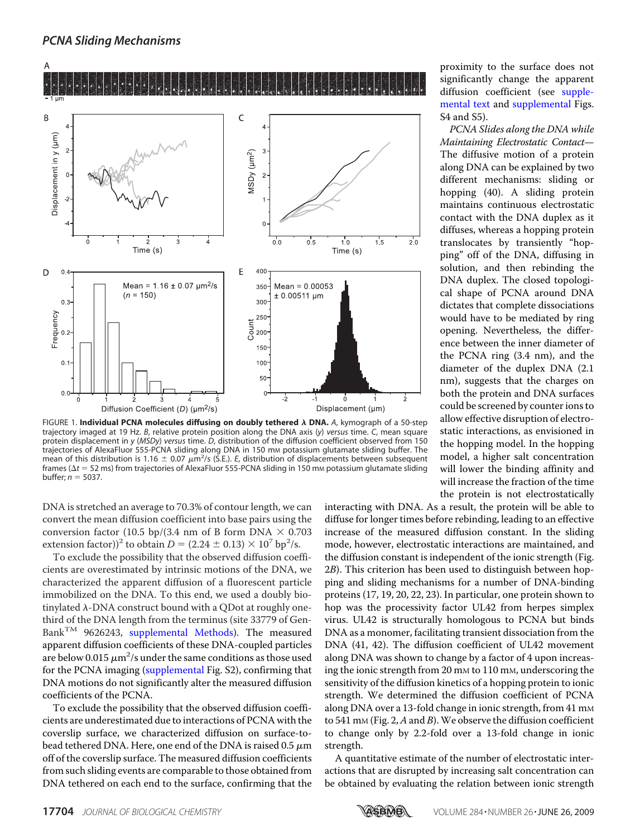

FIGURE 1. **Individual PCNA molecules diffusing on doubly tethered DNA.** *A*, kymograph of a 50-step trajectory imaged at 19 Hz. *B*, relative protein position along the DNA axis (*y*) *versus* time. *C*, mean square protein displacement in *y* (*MSDy*) *versus* time. *D*, distribution of the diffusion coefficient observed from 150 trajectories of AlexaFluor 555-PCNA sliding along DNA in 150 mM potassium glutamate sliding buffer. The mean of this distribution is 1.16  $\pm$  0.07  $\mu$ m<sup>2</sup>/s (S.E.). *E*, distribution of displacements between subsequent frames ( $\Delta t = 52$  ms) from trajectories of AlexaFluor 555-PCNA sliding in 150 mm potassium glutamate sliding buffer;  $n = 5037$ .

proximity to the surface does not significantly change the apparent diffusion coefficient (see [supple](http://www.jbc.org/cgi/content/full/M109.008706/DC1)[mental text](http://www.jbc.org/cgi/content/full/M109.008706/DC1) and [supplemental](http://www.jbc.org/cgi/content/full/M109.008706/DC1) Figs. S4 and S5).

*PCNA Slides along the DNA while Maintaining Electrostatic Contact*— The diffusive motion of a protein along DNA can be explained by two different mechanisms: sliding or hopping (40). A sliding protein maintains continuous electrostatic contact with the DNA duplex as it diffuses, whereas a hopping protein translocates by transiently "hopping" off of the DNA, diffusing in solution, and then rebinding the DNA duplex. The closed topological shape of PCNA around DNA dictates that complete dissociations would have to be mediated by ring opening. Nevertheless, the difference between the inner diameter of the PCNA ring (3.4 nm), and the diameter of the duplex DNA (2.1 nm), suggests that the charges on both the protein and DNA surfaces could be screened by counter ions to allow effective disruption of electrostatic interactions, as envisioned in the hopping model. In the hopping model, a higher salt concentration will lower the binding affinity and will increase the fraction of the time the protein is not electrostatically

DNA is stretched an average to 70.3% of contour length, we can convert the mean diffusion coefficient into base pairs using the conversion factor (10.5 bp/(3.4 nm of B form DNA  $\times$  0.703 extension factor)<sup>2</sup> to obtain  $D = (2.24 \pm 0.13) \times 10^7$  bp<sup>2</sup>/s.

To exclude the possibility that the observed diffusion coefficients are overestimated by intrinsic motions of the DNA, we characterized the apparent diffusion of a fluorescent particle immobilized on the DNA. To this end, we used a doubly biotinylated  $\lambda$ -DNA construct bound with a QDot at roughly onethird of the DNA length from the terminus (site 33779 of GenBank<sup>TM</sup> 9626243, [supplemental Methods\)](http://www.jbc.org/cgi/content/full/M109.008706/DC1). The measured apparent diffusion coefficients of these DNA-coupled particles are below 0.015  $\mu$ m<sup>2</sup>/s under the same conditions as those used for the PCNA imaging [\(supplemental](http://www.jbc.org/cgi/content/full/M109.008706/DC1) Fig. S2), confirming that DNA motions do not significantly alter the measured diffusion coefficients of the PCNA.

To exclude the possibility that the observed diffusion coefficients are underestimated due to interactions of PCNA with the coverslip surface, we characterized diffusion on surface-tobead tethered DNA. Here, one end of the DNA is raised  $0.5 \mu m$ off of the coverslip surface. The measured diffusion coefficients from such sliding events are comparable to those obtained from DNA tethered on each end to the surface, confirming that the interacting with DNA. As a result, the protein will be able to diffuse for longer times before rebinding, leading to an effective increase of the measured diffusion constant. In the sliding mode, however, electrostatic interactions are maintained, and the diffusion constant is independent of the ionic strength (Fig. 2*B*). This criterion has been used to distinguish between hopping and sliding mechanisms for a number of DNA-binding proteins (17, 19, 20, 22, 23). In particular, one protein shown to hop was the processivity factor UL42 from herpes simplex virus. UL42 is structurally homologous to PCNA but binds DNA as a monomer, facilitating transient dissociation from the DNA (41, 42). The diffusion coefficient of UL42 movement along DNA was shown to change by a factor of 4 upon increasing the ionic strength from 20 mM to 110 mM, underscoring the sensitivity of the diffusion kinetics of a hopping protein to ionic strength. We determined the diffusion coefficient of PCNA along DNA over a 13-fold change in ionic strength, from 41 mM to 541 mM (Fig. 2,*A*and *B*).We observe the diffusion coefficient to change only by 2.2-fold over a 13-fold change in ionic strength.

A quantitative estimate of the number of electrostatic interactions that are disrupted by increasing salt concentration can be obtained by evaluating the relation between ionic strength

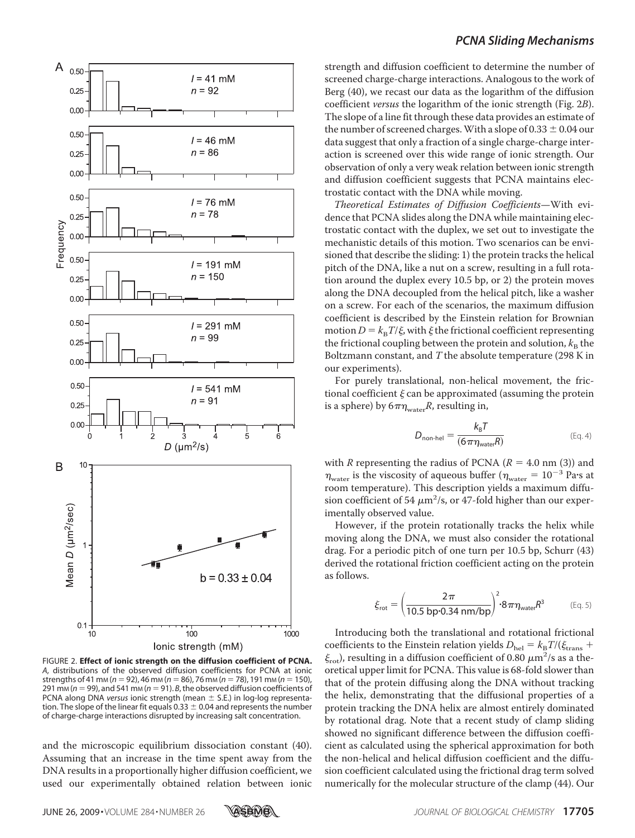

FIGURE 2. **Effect of ionic strength on the diffusion coefficient of PCNA.** *A*, distributions of the observed diffusion coefficients for PCNA at ionic strengths of 41 mm ( $n = 92$ ), 46 mm ( $n = 86$ ), 76 mm ( $n = 78$ ), 191 mm ( $n = 150$ ), 291 mm ( $n = 99$ ), and 541 mm ( $n = 91$ ). *B*, the observed diffusion coefficients of PCNA along DNA *versus* ionic strength (mean  $\pm$  S.E.) in log-log representation. The slope of the linear fit equals 0.33  $\pm$  0.04 and represents the number of charge-charge interactions disrupted by increasing salt concentration.

and the microscopic equilibrium dissociation constant (40). Assuming that an increase in the time spent away from the DNA results in a proportionally higher diffusion coefficient, we used our experimentally obtained relation between ionic



### *PCNA Sliding Mechanisms*

strength and diffusion coefficient to determine the number of screened charge-charge interactions. Analogous to the work of Berg (40), we recast our data as the logarithm of the diffusion coefficient *versus* the logarithm of the ionic strength (Fig. 2*B*). The slope of a line fit through these data provides an estimate of the number of screened charges. With a slope of  $0.33 \pm 0.04$  our data suggest that only a fraction of a single charge-charge interaction is screened over this wide range of ionic strength. Our observation of only a very weak relation between ionic strength and diffusion coefficient suggests that PCNA maintains electrostatic contact with the DNA while moving.

*Theoretical Estimates of Diffusion Coefficients*—With evidence that PCNA slides along the DNA while maintaining electrostatic contact with the duplex, we set out to investigate the mechanistic details of this motion. Two scenarios can be envisioned that describe the sliding: 1) the protein tracks the helical pitch of the DNA, like a nut on a screw, resulting in a full rotation around the duplex every 10.5 bp, or 2) the protein moves along the DNA decoupled from the helical pitch, like a washer on a screw. For each of the scenarios, the maximum diffusion coefficient is described by the Einstein relation for Brownian motion  $D = k_B T/\xi$ , with  $\xi$  the frictional coefficient representing the frictional coupling between the protein and solution,  $k<sub>B</sub>$  the Boltzmann constant, and *T* the absolute temperature (298 K in our experiments).

For purely translational, non-helical movement, the frictional coefficient  $\xi$  can be approximated (assuming the protein is a sphere) by  $6\pi\eta_{\mathrm{water}}R$ , resulting in,

$$
D_{\text{non-hel}} = \frac{k_{\text{B}}T}{(6\pi\eta_{\text{water}}R)} \tag{Eq. 4}
$$

with *R* representing the radius of PCNA ( $R = 4.0$  nm (3)) and  $\eta_{\text{water}}$  is the viscosity of aqueous buffer ( $\eta_{\text{water}} = 10^{-3}$  Pa·s at room temperature). This description yields a maximum diffusion coefficient of 54  $\mu$ m<sup>2</sup>/s, or 47-fold higher than our experimentally observed value.

However, if the protein rotationally tracks the helix while moving along the DNA, we must also consider the rotational drag. For a periodic pitch of one turn per 10.5 bp, Schurr (43) derived the rotational friction coefficient acting on the protein as follows.

$$
\xi_{rot} = \left(\frac{2\pi}{10.5 \text{ bp} \cdot 0.34 \text{ nm} / \text{bp}}\right)^2 \cdot 8\pi \eta_{\text{water}} R^3 \tag{Eq. 5}
$$

Introducing both the translational and rotational frictional coefficients to the Einstein relation yields  $D_{hel} = k_B T/(\xi_{trans} +$  $\xi_{\rm rot}$ ), resulting in a diffusion coefficient of 0.80  $\mu$ m<sup>2</sup>/s as a theoretical upper limit for PCNA. This value is 68-fold slower than that of the protein diffusing along the DNA without tracking the helix, demonstrating that the diffusional properties of a protein tracking the DNA helix are almost entirely dominated by rotational drag. Note that a recent study of clamp sliding showed no significant difference between the diffusion coefficient as calculated using the spherical approximation for both the non-helical and helical diffusion coefficient and the diffusion coefficient calculated using the frictional drag term solved numerically for the molecular structure of the clamp (44). Our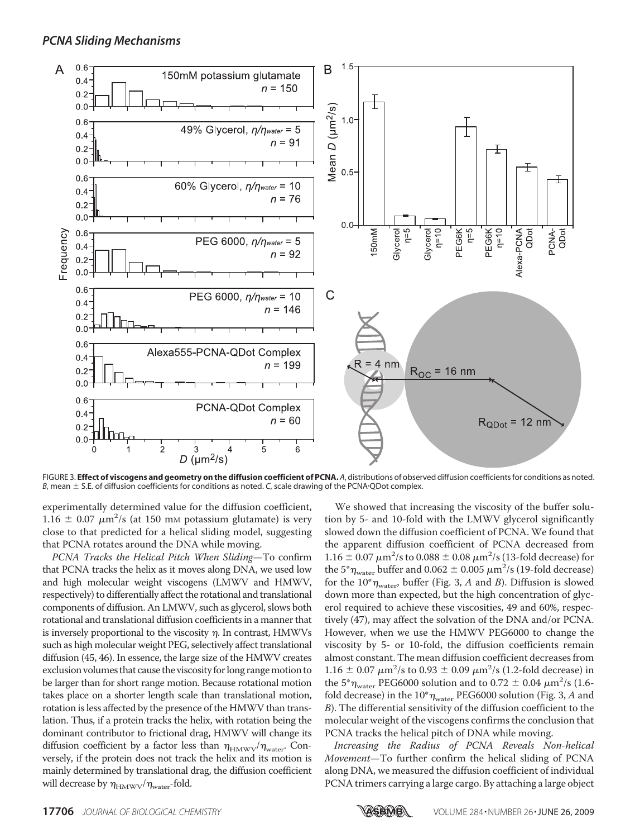

FIGURE 3. **Effect of viscogens and geometry on the diffusion coefficient of PCNA.** *A*, distributions of observed diffusion coefficients for conditions as noted. *B*, mean  $\pm$  S.E. of diffusion coefficients for conditions as noted. *C*, scale drawing of the PCNA·QDot complex.

experimentally determined value for the diffusion coefficient,  $1.16 \pm 0.07 \ \mu m^2/s$  (at 150 mm potassium glutamate) is very close to that predicted for a helical sliding model, suggesting that PCNA rotates around the DNA while moving.

*PCNA Tracks the Helical Pitch When Sliding*—To confirm that PCNA tracks the helix as it moves along DNA, we used low and high molecular weight viscogens (LMWV and HMWV, respectively) to differentially affect the rotational and translational components of diffusion. An LMWV, such as glycerol, slows both rotational and translational diffusion coefficients in a manner that is inversely proportional to the viscosity  $\eta$ . In contrast, HMWVs such as high molecular weight PEG, selectively affect translational diffusion (45, 46). In essence, the large size of the HMWV creates exclusion volumes that cause the viscosity for long range motion to be larger than for short range motion. Because rotational motion takes place on a shorter length scale than translational motion, rotation is less affected by the presence of the HMWV than translation. Thus, if a protein tracks the helix, with rotation being the dominant contributor to frictional drag, HMWV will change its diffusion coefficient by a factor less than  $\eta_{\rm HMWV}/\eta_{\rm water}$ . Conversely, if the protein does not track the helix and its motion is mainly determined by translational drag, the diffusion coefficient will decrease by  $\eta_{\rm HMWV}/\eta_{\rm water}$ -fold.

We showed that increasing the viscosity of the buffer solution by 5- and 10-fold with the LMWV glycerol significantly slowed down the diffusion coefficient of PCNA. We found that the apparent diffusion coefficient of PCNA decreased from  $1.16 \pm 0.07 \ \mu m^2$ /s to  $0.088 \pm 0.08 \ \mu m^2$ /s (13-fold decrease) for the 5\* $\eta_{\rm water}$  buffer and 0.062  $\pm$  0.005  $\mu$ m<sup>2</sup>/s (19-fold decrease) for the  $10^* \eta_{water}$ , buffer (Fig. 3, A and *B*). Diffusion is slowed down more than expected, but the high concentration of glycerol required to achieve these viscosities, 49 and 60%, respectively (47), may affect the solvation of the DNA and/or PCNA. However, when we use the HMWV PEG6000 to change the viscosity by 5- or 10-fold, the diffusion coefficients remain almost constant. The mean diffusion coefficient decreases from  $1.16 \pm 0.07 \ \mu m^2$ /s to 0.93  $\pm$  0.09  $\mu m^2$ /s (1.2-fold decrease) in the 5\* $\eta_{\text{water}}$  PEG6000 solution and to 0.72  $\pm$  0.04  $\mu$ m<sup>2</sup>/s (1.6fold decrease) in the  $10^* \eta_{\text{water}}$  PEG6000 solution (Fig. 3, *A* and *B*). The differential sensitivity of the diffusion coefficient to the molecular weight of the viscogens confirms the conclusion that PCNA tracks the helical pitch of DNA while moving.

*Increasing the Radius of PCNA Reveals Non-helical Movement*—To further confirm the helical sliding of PCNA along DNA, we measured the diffusion coefficient of individual PCNA trimers carrying a large cargo. By attaching a large object

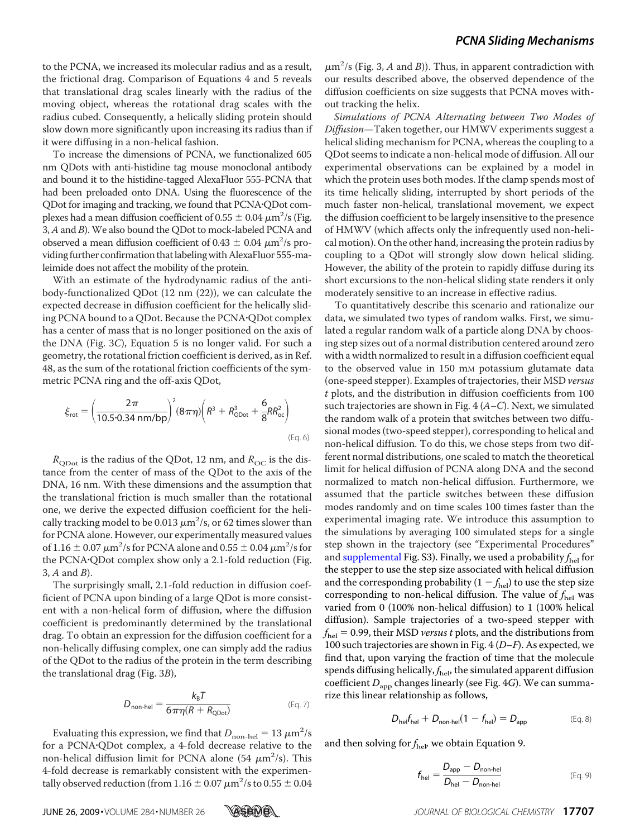to the PCNA, we increased its molecular radius and as a result, the frictional drag. Comparison of Equations 4 and 5 reveals that translational drag scales linearly with the radius of the moving object, whereas the rotational drag scales with the radius cubed. Consequently, a helically sliding protein should slow down more significantly upon increasing its radius than if it were diffusing in a non-helical fashion.

To increase the dimensions of PCNA, we functionalized 605 nm QDots with anti-histidine tag mouse monoclonal antibody and bound it to the histidine-tagged AlexaFluor 555-PCNA that had been preloaded onto DNA. Using the fluorescence of the QDot for imaging and tracking, we found that PCNA-QDot complexes had a mean diffusion coefficient of  $0.55 \pm 0.04 \ \mu m^2/s$  (Fig. 3, *A* and *B*). We also bound the QDot to mock-labeled PCNA and observed a mean diffusion coefficient of  $0.43 \pm 0.04 \ \mu m^2$ /s providing further confirmation that labeling with AlexaFluor 555-maleimide does not affect the mobility of the protein.

With an estimate of the hydrodynamic radius of the antibody-functionalized QDot (12 nm (22)), we can calculate the expected decrease in diffusion coefficient for the helically sliding PCNA bound to a QDot. Because the PCNA-QDot complex has a center of mass that is no longer positioned on the axis of the DNA (Fig. 3*C*), Equation 5 is no longer valid. For such a geometry, the rotational friction coefficient is derived, as in Ref. 48, as the sum of the rotational friction coefficients of the symmetric PCNA ring and the off-axis QDot,

$$
\xi_{\rm rot} = \left(\frac{2\pi}{10.5 \cdot 0.34 \text{ nm/bp}}\right)^2 (8\pi \eta) \left(R^3 + R_{\rm QDot}^3 + \frac{6}{8}RR_{\rm oc}^2\right)
$$
\n(Eq. 6)

 $R_{\text{QDot}}$  is the radius of the QDot, 12 nm, and  $R_{\text{OC}}$  is the distance from the center of mass of the QDot to the axis of the DNA, 16 nm. With these dimensions and the assumption that the translational friction is much smaller than the rotational one, we derive the expected diffusion coefficient for the helically tracking model to be 0.013  $\mu$ m<sup>2</sup>/s, or 62 times slower than for PCNA alone. However, our experimentally measured values of 1.16  $\pm$  0.07  $\mu$ m<sup>2</sup>/s for PCNA alone and 0.55  $\pm$  0.04  $\mu$ m<sup>2</sup>/s for the PCNA-QDot complex show only a 2.1-fold reduction (Fig. 3, *A* and *B*).

The surprisingly small, 2.1-fold reduction in diffusion coefficient of PCNA upon binding of a large QDot is more consistent with a non-helical form of diffusion, where the diffusion coefficient is predominantly determined by the translational drag. To obtain an expression for the diffusion coefficient for a non-helically diffusing complex, one can simply add the radius of the QDot to the radius of the protein in the term describing the translational drag (Fig. 3*B*),

$$
D_{\text{non-hel}} = \frac{k_{\text{B}}T}{6\pi\eta(R + R_{\text{QDot}})}
$$
(Eq. 7)

Evaluating this expression, we find that  $D_{\text{non-hel}} = 13 \ \mu \text{m}^2/\text{s}$ for a PCNA-QDot complex, a 4-fold decrease relative to the non-helical diffusion limit for PCNA alone (54  $\mu$ m<sup>2</sup>/s). This 4-fold decrease is remarkably consistent with the experimentally observed reduction (from  $1.16 \pm 0.07 \ \mu \text{m}^2/\text{s}$  to  $0.55 \pm 0.04$ 

 $\mu$ m<sup>2</sup>/s (Fig. 3, A and *B*)). Thus, in apparent contradiction with our results described above, the observed dependence of the diffusion coefficients on size suggests that PCNA moves without tracking the helix.

*Simulations of PCNA Alternating between Two Modes of Diffusion*—Taken together, our HMWV experiments suggest a helical sliding mechanism for PCNA, whereas the coupling to a QDot seems to indicate a non-helical mode of diffusion. All our experimental observations can be explained by a model in which the protein uses both modes. If the clamp spends most of its time helically sliding, interrupted by short periods of the much faster non-helical, translational movement, we expect the diffusion coefficient to be largely insensitive to the presence of HMWV (which affects only the infrequently used non-helical motion). On the other hand, increasing the protein radius by coupling to a QDot will strongly slow down helical sliding. However, the ability of the protein to rapidly diffuse during its short excursions to the non-helical sliding state renders it only moderately sensitive to an increase in effective radius.

To quantitatively describe this scenario and rationalize our data, we simulated two types of random walks. First, we simulated a regular random walk of a particle along DNA by choosing step sizes out of a normal distribution centered around zero with a width normalized to result in a diffusion coefficient equal to the observed value in 150 mm potassium glutamate data (one-speed stepper). Examples of trajectories, their MSD *versus t* plots, and the distribution in diffusion coefficients from 100 such trajectories are shown in Fig. 4 (*A–C*). Next, we simulated the random walk of a protein that switches between two diffusional modes (two-speed stepper), corresponding to helical and non-helical diffusion. To do this, we chose steps from two different normal distributions, one scaled to match the theoretical limit for helical diffusion of PCNA along DNA and the second normalized to match non-helical diffusion. Furthermore, we assumed that the particle switches between these diffusion modes randomly and on time scales 100 times faster than the experimental imaging rate. We introduce this assumption to the simulations by averaging 100 simulated steps for a single step shown in the trajectory (see "Experimental Procedures" and [supplemental](http://www.jbc.org/cgi/content/full/M109.008706/DC1) Fig. S3). Finally, we used a probability  $f_{hel}$  for the stepper to use the step size associated with helical diffusion and the corresponding probability  $(1 - f_{hel})$  to use the step size corresponding to non-helical diffusion. The value of  $f_{hel}$  was varied from 0 (100% non-helical diffusion) to 1 (100% helical diffusion). Sample trajectories of a two-speed stepper with  $f_{hel} = 0.99$ , their MSD *versus t* plots, and the distributions from 100 such trajectories are shown in Fig. 4 (*D–F*). As expected, we find that, upon varying the fraction of time that the molecule spends diffusing helically,  $f_{hel}$ , the simulated apparent diffusion coefficient  $D_{\text{app}}$  changes linearly (see Fig. 4*G*). We can summarize this linear relationship as follows,

$$
D_{\text{hel}}f_{\text{hel}} + D_{\text{non-hel}}(1 - f_{\text{hel}}) = D_{\text{app}} \tag{Eq. 8}
$$

and then solving for  $f_{\text{help}}$  we obtain Equation 9.

$$
f_{\text{hel}} = \frac{D_{\text{app}} - D_{\text{non-hel}}}{D_{\text{hel}} - D_{\text{non-hel}}}
$$
(Eq. 9)

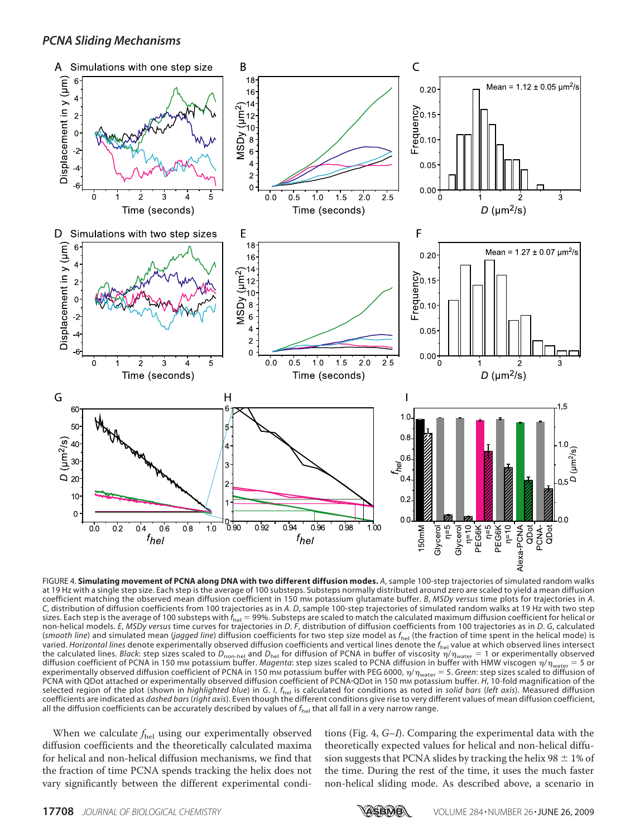

FIGURE 4. **Simulating movement of PCNA along DNA with two different diffusion modes.** *A*, sample 100-step trajectories of simulated random walks at 19 Hz with a single step size. Each step is the average of 100 substeps. Substeps normally distributed around zero are scaled to yield a mean diffusion coefficient matching the observed mean diffusion coefficient in 150 mM potassium glutamate buffer. *B*, *MSDy versus* time plots for trajectories in *A*. *C*, distribution of diffusion coefficients from 100 trajectories as in *A*. *D*, sample 100-step trajectories of simulated random walks at 19 Hz with two step sizes. Each step is the average of 100 substeps with  $f_{hel}$  = 99%. Substeps are scaled to match the calculated maximum diffusion coefficient for helical or non-helical models. *E*, *MSDy versus* time curves for trajectories in *D*. *F*, distribution of diffusion coefficients from 100 trajectories as in *D*. *G*, calculated (*smooth line*) and simulated mean (*jagged line*) diffusion coefficients for two step size model as f<sub>hel</sub> (the fraction of time spent in the helical mode) is varied. *Horizontal lines* denote experimentally observed diffusion coefficients and vertical lines denote the *f*hel value at which observed lines intersect the calculated lines. *Black*: step sizes scaled to  $D_{\text{non-hel}}$  and  $D_{\text{hel}}$  for diffusion of PCNA in buffer of viscosity  $\eta/\eta_{\text{water}} = 1$  or experimentally observed diffusion coefficient of PCNA in 150 mm potassium buffer. *Magenta*: step sizes scaled to PCNA diffusion in buffer with HMW viscogen  $\eta/\eta_\text{water} =$  5 or experimentally observed diffusion coefficient of PCNA in 150 mm potassium buffer with PEG 6000,  $\eta/\eta_{\text{water}} = 5$ . *Green*: step sizes scaled to diffusion of PCNA with QDot attached or experimentally observed diffusion coefficient of PCNA-QDot in 150 mm potassium buffer. *H*, 10-fold magnification of the selected region of the plot (shown in *highlighted blue*) in *G*. *I*, *f*hel is calculated for conditions as noted in *solid bars* (*left axis*). Measured diffusion coefficients are indicated as *dashed bars* (*right axis*). Even though the different conditions give rise to very different values of mean diffusion coefficient, all the diffusion coefficients can be accurately described by values of f<sub>hel</sub> that all fall in a very narrow range.

When we calculate  $f_{\rm hel}$  using our experimentally observed diffusion coefficients and the theoretically calculated maxima for helical and non-helical diffusion mechanisms, we find that the fraction of time PCNA spends tracking the helix does not vary significantly between the different experimental condi-



tions (Fig. 4, *G–I*). Comparing the experimental data with the theoretically expected values for helical and non-helical diffusion suggests that PCNA slides by tracking the helix 98  $\pm$  1% of the time. During the rest of the time, it uses the much faster non-helical sliding mode. As described above, a scenario in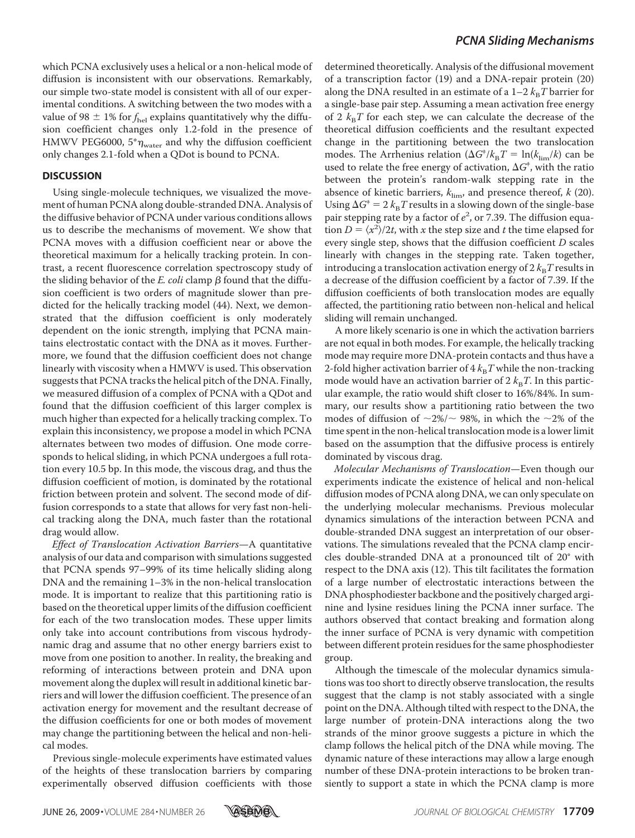which PCNA exclusively uses a helical or a non-helical mode of diffusion is inconsistent with our observations. Remarkably, our simple two-state model is consistent with all of our experimental conditions. A switching between the two modes with a value of 98  $\pm$  1% for  $f_{\rm hel}$  explains quantitatively why the diffusion coefficient changes only 1.2-fold in the presence of HMWV PEG6000,  $5*\eta_{water}$  and why the diffusion coefficient only changes 2.1-fold when a QDot is bound to PCNA.

#### **DISCUSSION**

Using single-molecule techniques, we visualized the movement of human PCNA along double-stranded DNA. Analysis of the diffusive behavior of PCNA under various conditions allows us to describe the mechanisms of movement. We show that PCNA moves with a diffusion coefficient near or above the theoretical maximum for a helically tracking protein. In contrast, a recent fluorescence correlation spectroscopy study of the sliding behavior of the  $E.$  coli clamp  $\beta$  found that the diffusion coefficient is two orders of magnitude slower than predicted for the helically tracking model (44). Next, we demonstrated that the diffusion coefficient is only moderately dependent on the ionic strength, implying that PCNA maintains electrostatic contact with the DNA as it moves. Furthermore, we found that the diffusion coefficient does not change linearly with viscosity when a HMWV is used. This observation suggests that PCNA tracks the helical pitch of the DNA. Finally, we measured diffusion of a complex of PCNA with a QDot and found that the diffusion coefficient of this larger complex is much higher than expected for a helically tracking complex. To explain this inconsistency, we propose a model in which PCNA alternates between two modes of diffusion. One mode corresponds to helical sliding, in which PCNA undergoes a full rotation every 10.5 bp. In this mode, the viscous drag, and thus the diffusion coefficient of motion, is dominated by the rotational friction between protein and solvent. The second mode of diffusion corresponds to a state that allows for very fast non-helical tracking along the DNA, much faster than the rotational drag would allow.

*Effect of Translocation Activation Barriers*—A quantitative analysis of our data and comparison with simulations suggested that PCNA spends 97–99% of its time helically sliding along DNA and the remaining 1–3% in the non-helical translocation mode. It is important to realize that this partitioning ratio is based on the theoretical upper limits of the diffusion coefficient for each of the two translocation modes. These upper limits only take into account contributions from viscous hydrodynamic drag and assume that no other energy barriers exist to move from one position to another. In reality, the breaking and reforming of interactions between protein and DNA upon movement along the duplex will result in additional kinetic barriers and will lower the diffusion coefficient. The presence of an activation energy for movement and the resultant decrease of the diffusion coefficients for one or both modes of movement may change the partitioning between the helical and non-helical modes.

Previous single-molecule experiments have estimated values of the heights of these translocation barriers by comparing experimentally observed diffusion coefficients with those determined theoretically. Analysis of the diffusional movement of a transcription factor (19) and a DNA-repair protein (20) along the DNA resulted in an estimate of a  $1-2k_BT$  barrier for a single-base pair step. Assuming a mean activation free energy of 2  $k_B T$  for each step, we can calculate the decrease of the theoretical diffusion coefficients and the resultant expected change in the partitioning between the two translocation modes. The Arrhenius relation  $(\Delta G^{\dagger}/k_{\text{B}}T = \ln(k_{\text{lim}}/k)$  can be used to relate the free energy of activation,  $\Delta G^*$ , with the ratio between the protein's random-walk stepping rate in the absence of kinetic barriers,  $k_{\text{lim}}$ , and presence thereof,  $k$  (20). Using  $\Delta G^* = 2 k_B T$  results in a slowing down of the single-base pair stepping rate by a factor of  $e^2$ , or 7.39. The diffusion equation  $D = \langle x^2 \rangle / 2t$ , with *x* the step size and *t* the time elapsed for every single step, shows that the diffusion coefficient *D* scales linearly with changes in the stepping rate. Taken together, introducing a translocation activation energy of  $2k_BT$  results in a decrease of the diffusion coefficient by a factor of 7.39. If the diffusion coefficients of both translocation modes are equally affected, the partitioning ratio between non-helical and helical sliding will remain unchanged.

A more likely scenario is one in which the activation barriers are not equal in both modes. For example, the helically tracking mode may require more DNA-protein contacts and thus have a 2-fold higher activation barrier of  $4k_BT$  while the non-tracking mode would have an activation barrier of  $2 k_B T$ . In this particular example, the ratio would shift closer to 16%/84%. In summary, our results show a partitioning ratio between the two modes of diffusion of  $\sim$ 2%/ $\sim$  98%, in which the  $\sim$ 2% of the time spent in the non-helical translocation mode is a lower limit based on the assumption that the diffusive process is entirely dominated by viscous drag.

*Molecular Mechanisms of Translocation*—Even though our experiments indicate the existence of helical and non-helical diffusion modes of PCNA along DNA, we can only speculate on the underlying molecular mechanisms. Previous molecular dynamics simulations of the interaction between PCNA and double-stranded DNA suggest an interpretation of our observations. The simulations revealed that the PCNA clamp encircles double-stranded DNA at a pronounced tilt of 20° with respect to the DNA axis (12). This tilt facilitates the formation of a large number of electrostatic interactions between the DNA phosphodiester backbone and the positively charged arginine and lysine residues lining the PCNA inner surface. The authors observed that contact breaking and formation along the inner surface of PCNA is very dynamic with competition between different protein residues for the same phosphodiester group.

Although the timescale of the molecular dynamics simulations was too short to directly observe translocation, the results suggest that the clamp is not stably associated with a single point on the DNA. Although tilted with respect to the DNA, the large number of protein-DNA interactions along the two strands of the minor groove suggests a picture in which the clamp follows the helical pitch of the DNA while moving. The dynamic nature of these interactions may allow a large enough number of these DNA-protein interactions to be broken transiently to support a state in which the PCNA clamp is more